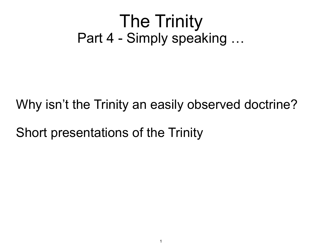#### The Trinity Part 4 - Simply speaking …

Why isn't the Trinity an easily observed doctrine?

Short presentations of the Trinity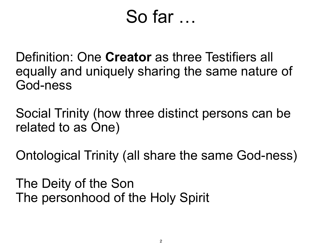### So far …

Definition: One **Creator** as three Testifiers all equally and uniquely sharing the same nature of God-ness

Social Trinity (how three distinct persons can be related to as One)

Ontological Trinity (all share the same God-ness)

The Deity of the Son The personhood of the Holy Spirit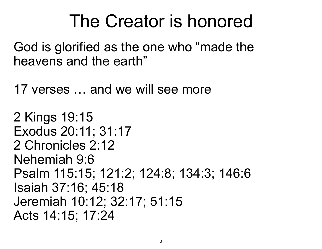# The Creator is honored

God is glorified as the one who "made the heavens and the earth"

17 verses … and we will see more

```
2 Kings 19:15 
Exodus 20:11; 31:17 
2 Chronicles 2:12 
Nehemiah 9:6 
Psalm 115:15; 121:2; 124:8; 134:3; 146:6 
Isaiah 37:16; 45:18 
Jeremiah 10:12; 32:17; 51:15 
Acts 14:15; 17:24
```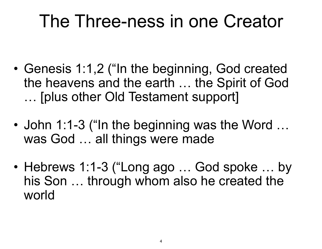- Genesis 1:1,2 ("In the beginning, God created the heavens and the earth … the Spirit of God … [plus other Old Testament support]
- John 1:1-3 ("In the beginning was the Word ... was God ... all things were made
- Hebrews 1:1-3 ("Long ago ... God spoke ... by his Son … through whom also he created the world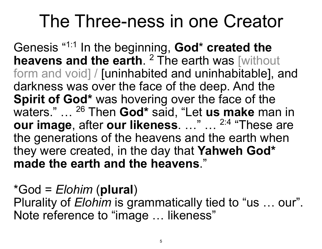Genesis "1:1 In the beginning, **God**\* **created the heavens and the earth.** <sup>2</sup> The earth was [without form and void] / [uninhabited and uninhabitable], and darkness was over the face of the deep. And the **Spirit of God\*** was hovering over the face of the waters." … 26 Then **God\*** said, "Let **us make** man in **our image**, after **our likeness**. …" … 2:4 "These are the generations of the heavens and the earth when they were created, in the day that **Yahweh God\* made the earth and the heavens**."

\*God = *Elohim* (**plural**) Plurality of *Elohim* is grammatically tied to "us … our". Note reference to "image … likeness"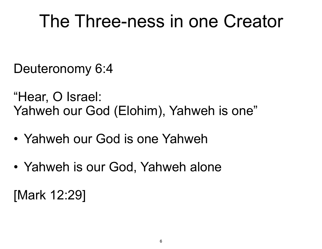Deuteronomy 6:4

"Hear, O Israel: Yahweh our God (Elohim), Yahweh is one"

- Yahweh our God is one Yahweh
- Yahweh is our God, Yahweh alone

[Mark 12:29]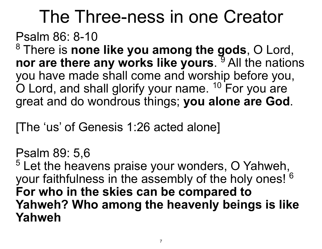#### Psalm 86: 8-10

8 There is **none like you among the gods**, O Lord, nor are there any works like yours.<sup>9</sup> All the nations you have made shall come and worship before you,  $\overline{O}$  Lord, and shall glorify your name.  $10$  For you are great and do wondrous things; **you alone are God**.

[The 'us' of Genesis 1:26 acted alone]

Psalm 89: 5,6  $5$  Let the heavens praise your wonders, O Yahweh, your faithfulness in the assembly of the holy ones! <sup>6</sup> **For who in the skies can be compared to Yahweh? Who among the heavenly beings is like Yahweh**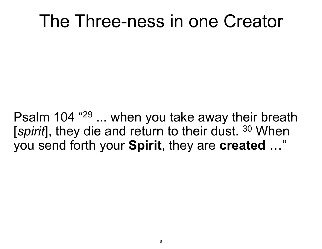Psalm 104 "29 ... when you take away their breath [*spirit*], they die and return to their dust. 30 When you send forth your **Spirit**, they are **created** …"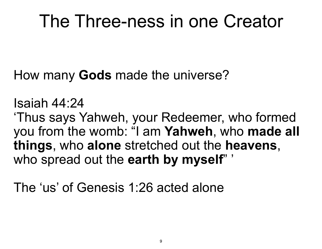How many **Gods** made the universe?

Isaiah 44:24

'Thus says Yahweh, your Redeemer, who formed you from the womb: "I am **Yahweh**, who **made all things**, who **alone** stretched out the **heavens**, who spread out the **earth by myself**" '

The 'us' of Genesis 1:26 acted alone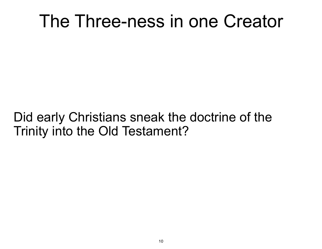#### Did early Christians sneak the doctrine of the Trinity into the Old Testament?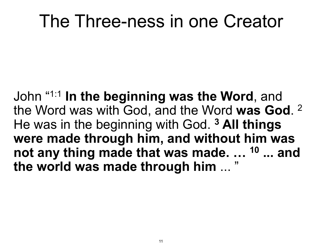John "1:1 **In the beginning was the Word**, and the Word was with God, and the Word **was God**. 2 He was in the beginning with God. **3 All things were made through him, and without him was not any thing made that was made. … 10 ... and the world was made through him** ... "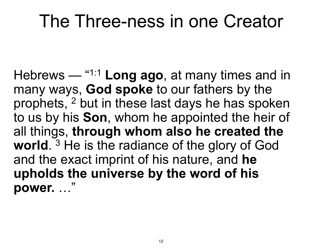Hebrews — "1:1 **Long ago**, at many times and in many ways, **God spoke** to our fathers by the prophets, 2 but in these last days he has spoken to us by his **Son**, whom he appointed the heir of all things, **through whom also he created the world**. 3 He is the radiance of the glory of God and the exact imprint of his nature, and **he upholds the universe by the word of his power.** …"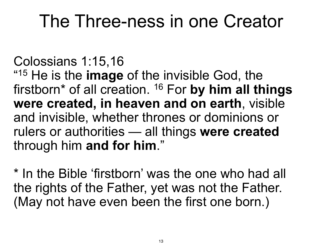Colossians 1:15,16 "15 He is the **image** of the invisible God, the firstborn\* of all creation. 16 For **by him all things were created, in heaven and on earth**, visible and invisible, whether thrones or dominions or rulers or authorities — all things **were created** through him **and for him**."

\* In the Bible 'firstborn' was the one who had all the rights of the Father, yet was not the Father. (May not have even been the first one born.)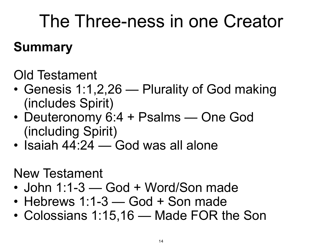#### **Summary**

Old Testament

- Genesis 1:1,2,26 Plurality of God making (includes Spirit)
- Deuteronomy 6:4 + Psalms One God (including Spirit)
- Isaiah 44:24 God was all alone

New Testament

- John 1:1-3 God + Word/Son made
- Hebrews 1:1-3 God + Son made
- Colossians 1:15,16 Made FOR the Son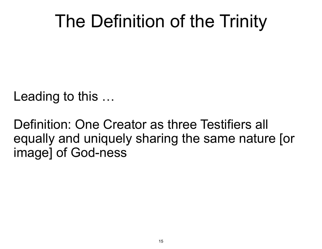# The Definition of the Trinity

Leading to this …

Definition: One Creator as three Testifiers all equally and uniquely sharing the same nature [or image] of God-ness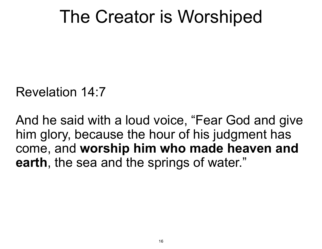## The Creator is Worshiped

Revelation 14:7

And he said with a loud voice, "Fear God and give him glory, because the hour of his judgment has come, and **worship him who made heaven and earth**, the sea and the springs of water."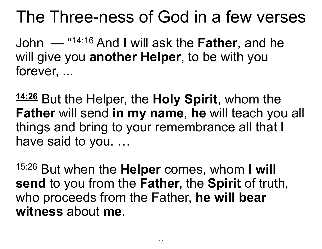John — "14:16 And **I** will ask the **Father**, and he will give you **another Helper**, to be with you forever, ...

**14:26** But the Helper, the **Holy Spirit**, whom the **Father** will send **in my name**, **he** will teach you all things and bring to your remembrance all that **I**  have said to you. …

15:26 But when the **Helper** comes, whom **I will send** to you from the **Father,** the **Spirit** of truth, who proceeds from the Father, **he will bear witness** about **me**.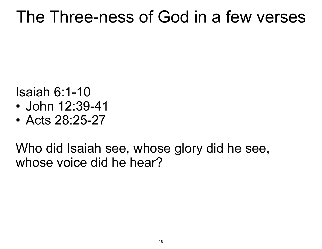Isaiah 6:1-10

- John 12:39-41
- Acts 28:25-27

Who did Isaiah see, whose glory did he see, whose voice did he hear?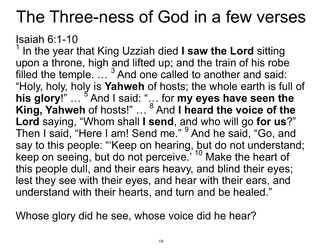Isaiah 6:1-10

1 In the year that King Uzziah died **I saw the Lord** sitting upon a throne, high and lifted up; and the train of his robe filled the temple.  $\ldots$  <sup>3</sup> And one called to another and said: "Holy, holy, holy is **Yahweh** of hosts; the whole earth is full of his glory!" ... <sup>5</sup> And I said: "... for my eyes have seen the King, Yahweh of hosts!" ... <sup>8</sup> And I heard the voice of the **Lord** saying, "Whom shall **I send**, and who will go **for us**?" Then I said, "Here I am! Send me." <sup>9</sup> And he said, "Go, and say to this people: "'Keep on hearing, but do not understand; keep on seeing, but do not perceive.<sup>''10</sup> Make the heart of this people dull, and their ears heavy, and blind their eyes; lest they see with their eyes, and hear with their ears, and understand with their hearts, and turn and be healed."

Whose glory did he see, whose voice did he hear?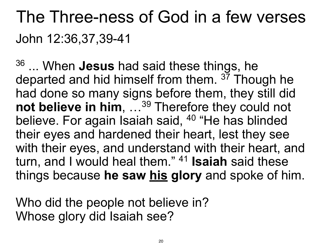### The Three-ness of God in a few verses John 12:36,37,39-41

36 ... When **Jesus** had said these things, he departed and hid himself from them. <sup>37</sup> Though he had done so many signs before them, they still did **not believe in him**, … 39 Therefore they could not believe. For again Isaiah said, <sup>40</sup> "He has blinded their eyes and hardened their heart, lest they see with their eyes, and understand with their heart, and turn, and I would heal them." 41 **Isaiah** said these things because **he saw his glory** and spoke of him.

Who did the people not believe in? Whose glory did Isaiah see?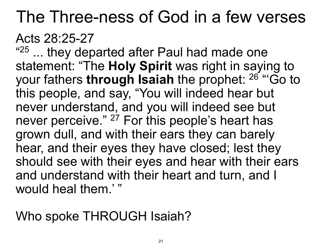#### Acts 28:25-27

"<sup>25</sup> ... they departed after Paul had made one statement: "The **Holy Spirit** was right in saying to your fathers **through Isaiah** the prophet: 26 "'Go to this people, and say, "You will indeed hear but never understand, and you will indeed see but never perceive." <sup>27</sup> For this people's heart has grown dull, and with their ears they can barely hear, and their eyes they have closed; lest they should see with their eyes and hear with their ears and understand with their heart and turn, and I would heal them.' "

Who spoke THROUGH Isaiah?